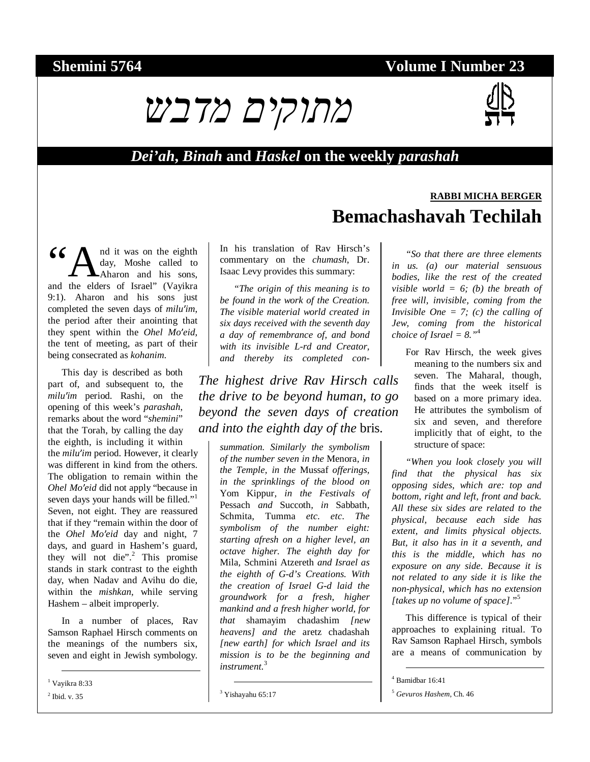## **Shemini 5764** Volume I Number 23



#### *Dei'ah***,** *Binah* **and** *Haskel* **on the weekly** *parashah*

nd it was on the eighth day, Moshe called to Aharon and his sons, 66 M nd it was on the eighth day, Moshe called to Aharon and his sons, and the elders of Israel" (Vayikra) 9:1). Aharon and his sons just completed the seven days of *milu*′*im*, the period after their anointing that they spent within the *Ohel Mo*′*eid*, the tent of meeting, as part of their being consecrated as *kohanim*.

This day is described as both part of, and subsequent to, the *milu'im* period. Rashi, on the *'im* period. Rashi, on the<br>ing of this week's *parashah*,<br>arks about the word "shemini" opening of this week's *parashah*, remarks about the word "*shemini*" that the Torah, by calling the day the eighth, is including it within the *milu'im* period. However, it clearly the *milu'im* period. However, it clearly was different in kind from the others.<br>The obligation to remain within the was different in kind from the others. *Ohel Mo'eid* did not apply "because in seven days your hands will be filled."<sup>1</sup><br>Seven, not eight. They are reassured seven days your hands will be filled." Seven, not eight. They are reassured that if they "remain within the door of the *Ohel Mo*the *Ohel Mo'eid* day and night, 7 days, and guard in Hashem's guard, they will not die".<sup>2</sup> This promise days, and guard in Hashem's guard, stands in stark contrast to the eighth day, when Nadav and Avihu do die, within the *mishkan*, while serving Hashem – albeit improperly.

In a number of places, Rav Samson Raphael Hirsch comments on the meanings of the numbers six, seven and eight in Jewish symbology.

1 Vayikra 8:33

 $<sup>2</sup>$  Ibid. v. 35</sup>

In his translation of Rav Hirsch's commentary on the *chumash*, Dr. Isaac Levy provides this summary:

*"The origin of this meaning is to be found in the work of the Creation. The visible material world created in six days received with the seventh day a day of remembrance of, and bond with its invisible L-rd and Creator, and thereby its completed con-*

*The highest drive Rav Hirsch calls the drive to be beyond human, to go beyond the seven days of creation and into the eighth day of the* bris*.* 

*summation. Similarly the symbolism of the number seven in the* Menora*, in the Temple, in the* Mussaf *offerings, in the sprinklings of the blood on*  Yom Kippur*, in the Festivals of*  Pessach *and* Succoth*, in* Sabbath*,*  Schmita*,* Tumma *etc. etc. The symbolism of the number eight: starting afresh on a higher level, an octave higher. The eighth day for*  Mila*,* Schmini Atzereth *and Israel as the eighth of G-d's Creations. With the creation of Israel G-d laid the groundwork for a fresh, higher mankind and a fresh higher world, for that* shamayim chadashim *[new heavens] and the* aretz chadashah *[new earth] for which Israel and its mission is to be the beginning and instrument.*<sup>3</sup>

# **RABBI MICHA BERGER Bemachashavah Techilah**

*"So that there are three elements in us. (a) our material sensuous bodies, like the rest of the created visible world = 6; (b) the breath of free will, invisible, coming from the Invisible One = 7; (c) the calling of Jew, coming from the historical choice of Israel = 8."*<sup>4</sup>

For Rav Hirsch, the week gives meaning to the numbers six and seven. The Maharal, though, finds that the week itself is based on a more primary idea. He attributes the symbolism of six and seven, and therefore implicitly that of eight, to the structure of space:

*"When you look closely you will find that the physical has six opposing sides, which are: top and bottom, right and left, front and back. All these six sides are related to the physical, because each side has extent, and limits physical objects. But, it also has in it a seventh, and this is the middle, which has no exposure on any side. Because it is not related to any side it is like the non-physical, which has no extension [takes up no volume of space].*" 5

This difference is typical of their approaches to explaining ritual. To Rav Samson Raphael Hirsch, symbols are a means of communication by

 <sup>3</sup> Yishayahu 65:17

 <sup>4</sup> Bamidbar 16:41

<sup>5</sup> *Gevuros Hashem*, Ch. 46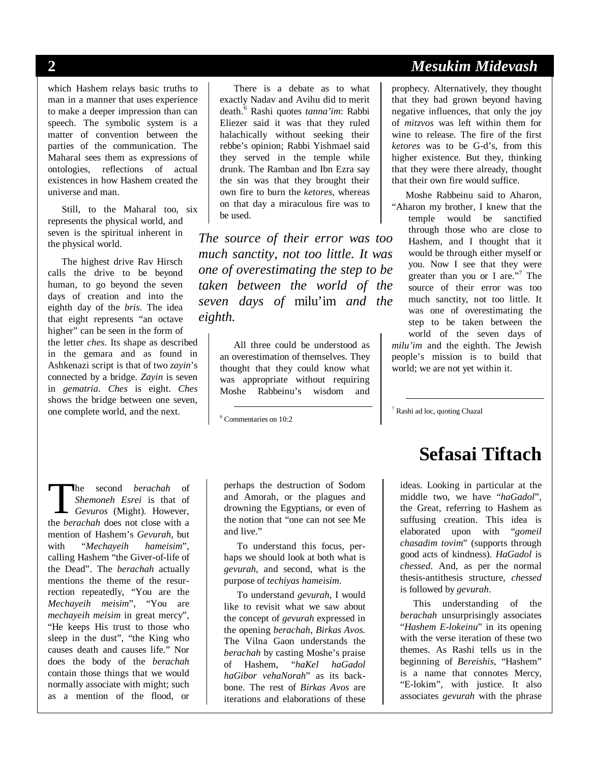which Hashem relays basic truths to man in a manner that uses experience to make a deeper impression than can speech. The symbolic system is a matter of convention between the parties of the communication. The Maharal sees them as expressions of ontologies, reflections of actual existences in how Hashem created the universe and man.

Still, to the Maharal too, six represents the physical world, and seven is the spiritual inherent in the physical world.

The highest drive Rav Hirsch calls the drive to be beyond human, to go beyond the seven days of creation and into the eighth day of the *bris*. The idea that eight represents "an octave higher" can be seen in the form of the letter *ches*. Its shape as described in the gemara and as found in Ashkenazi script is that of two *zayin*'s connected by a bridge. *Zayin* is seven in *gematria*. *Ches* is eight. *Ches* shows the bridge between one seven, one complete world, and the next.

There is a debate as to what exactly Nadav and Avihu did to merit death.<sup>6</sup> Rashi quotes *tanna'im*: Rabbi Eliezer said it was that they ruled halachically without seeking their rebbe's opinion; Rabbi Yishmael said they served in the temple while drunk. The Ramban and Ibn Ezra say the sin was that they brought their own fire to burn the *ketores*, whereas on that day a miraculous fire was to be used.

*The source of their error was too much sanctity, not too little. It was one of overestimating the step to be taken between the world of the seven days of* milu'im *and the eighth.* 

> All three could be understood as an overestimation of themselves. They thought that they could know what was appropriate without requiring Moshe Rabbeinu's wisdom and

6 Commentaries on 10:2

he second *berachah* of *Shemoneh Esrei* is that of *Gevuros* (Might). However, **The second** *berachah* of *Shemoneh Esrei* is that of *Gevuros* (Might). However, the *berachah* does not close with a mention of Hashem's *Gevurah*, but with "*Mechayeih hameisim*", calling Hashem "the Giver-of-life of the Dead". The *berachah* actually mentions the theme of the resurrection repeatedly, "You are the *Mechayeih meisim*", "You are *mechayeih meisim* in great mercy", "He keeps His trust to those who sleep in the dust", "the King who causes death and causes life." Nor does the body of the *berachah* contain those things that we would normally associate with might; such as a mention of the flood, or

perhaps the destruction of Sodom and Amorah, or the plagues and drowning the Egyptians, or even of the notion that "one can not see Me and live."

To understand this focus, perhaps we should look at both what is *gevurah*, and second, what is the purpose of *techiyas hameisim*.

To understand *gevurah*, I would like to revisit what we saw about the concept of *gevurah* expressed in the opening *berachah, Birkas Avos.* The Vilna Gaon understands the *berachah* by casting Moshe's praise of Hashem, "*haKel haGadol haGibor vehaNorah*" as its backbone. The rest of *Birkas Avos* are iterations and elaborations of these

## **2** *Mesukim Midevash*

prophecy. Alternatively, they thought that they had grown beyond having negative influences, that only the joy of *mitzvos* was left within them for wine to release. The fire of the first *ketores* was to be G-d's, from this higher existence. But they, thinking that they were there already, thought that their own fire would suffice.

Moshe Rabbeinu said to Aharon, "Aharon my brother, I knew that the temple would be sanctified through those who are close to Hashem, and I thought that it would be through either myself or you. Now I see that they were greater than you or I are."<sup>7</sup> The source of their error was too much sanctity, not too little. It was one of overestimating the step to be taken between the world of the seven days of *milu'im* and the eighth. The Jewish people's mission is to build that world; we are not yet within it.

7 Rashi ad loc, quoting Chazal

# **Sefasai Tiftach**

ideas. Looking in particular at the middle two, we have "*haGadol*", the Great, referring to Hashem as suffusing creation. This idea is elaborated upon with "*gomeil chasadim tovim*" (supports through good acts of kindness). *HaGadol* is *chessed*. And, as per the normal thesis-antithesis structure, *chessed* is followed by *gevurah*.

This understanding of the *berachah* unsurprisingly associates "*Hashem E-lokeinu*" in its opening with the verse iteration of these two themes. As Rashi tells us in the beginning of *Bereishis*, "Hashem" is a name that connotes Mercy, "E-lokim", with justice. It also associates *gevurah* with the phrase